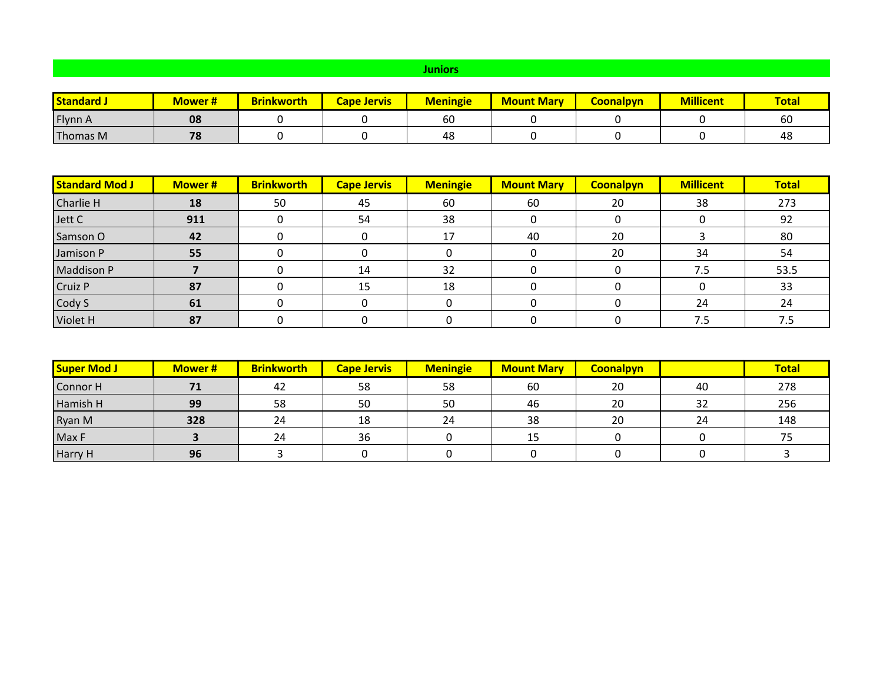## **Juniors**

| <b>Standard</b> | <b>Mower#</b> | <b>Brinkworth</b> | <b>Cape Jervis</b> | <b>Meningie</b> | <b>Mount Mary</b> | <b>Coonalpyn</b> | <b>Millicent</b> | <b>Total</b> |
|-----------------|---------------|-------------------|--------------------|-----------------|-------------------|------------------|------------------|--------------|
| Flynn A         | 08            |                   |                    | 60              |                   |                  |                  | 60           |
| Thomas M        | 70<br>, ,     |                   |                    | 48              |                   |                  |                  | 48           |

| <b>Standard Mod J</b> | <b>Mower#</b> | <b>Brinkworth</b> | <b>Cape Jervis</b> | <b>Meningie</b> | <b>Mount Mary</b> | <b>Coonalpyn</b> | <b>Millicent</b> | <b>Total</b> |
|-----------------------|---------------|-------------------|--------------------|-----------------|-------------------|------------------|------------------|--------------|
| Charlie H             | 18            | 50                | 45                 | 60              | 60                | 20               | 38               | 273          |
| Jett C                | 911           |                   | 54                 | 38              |                   |                  |                  | 92           |
| Samson O              | 42            |                   |                    | 17              | 40                | 20               |                  | 80           |
| Jamison P             | 55            |                   |                    |                 |                   | 20               | 34               | 54           |
| <b>Maddison P</b>     |               |                   | 14                 | 32              |                   |                  | 7.5              | 53.5         |
| Cruiz P               | 87            |                   | 15                 | 18              |                   |                  |                  | 33           |
| Cody S                | 61            |                   |                    |                 |                   |                  | 24               | 24           |
| Violet H              | 87            |                   |                    |                 |                   |                  | 7.5              | 7.5          |

| <b>Super Mod J</b> | <b>Mower#</b> | <b>Brinkworth</b> | <b>Cape Jervis</b> | <b>Meningie</b> | <b>Mount Mary</b> | <b>Coonalpyn</b> |    | <b>Total</b> |
|--------------------|---------------|-------------------|--------------------|-----------------|-------------------|------------------|----|--------------|
| Connor H           |               | 42                | 58                 | 58              | 60                | 20               | 40 | 278          |
| Hamish H           | 99            | 58                | 50                 | 50              | 46                | 20               | 32 | 256          |
| Ryan M             | 328           | 24                | 18                 | 24              | 38                | 20               | 24 | 148          |
| Max F              |               | 24                | 36                 |                 | 15                |                  |    |              |
| Harry H            | 96            |                   |                    |                 |                   |                  |    |              |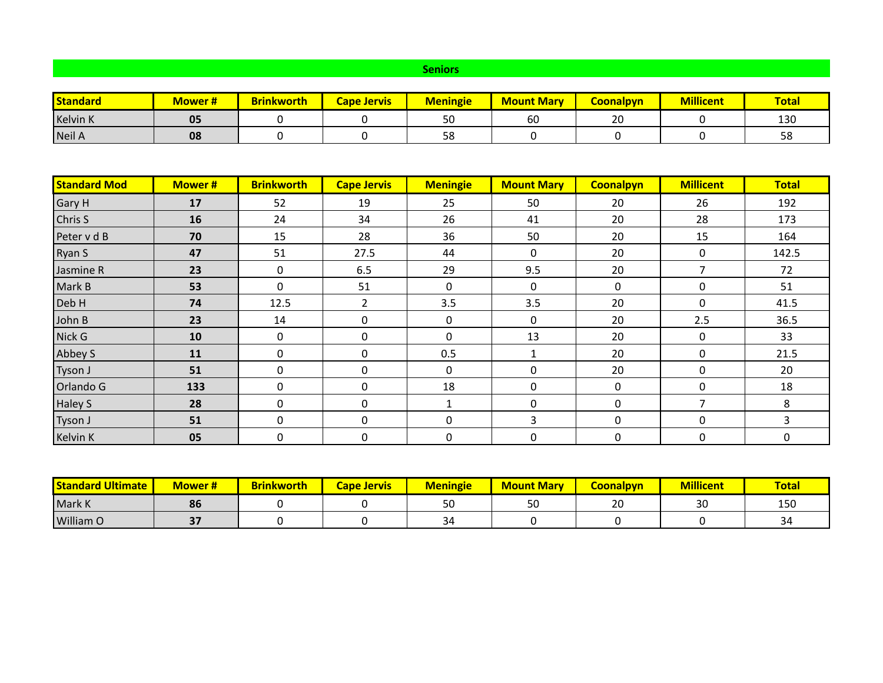## **Seniors**

| <b>Standard</b> | <b>Mower#</b> | <b>Brinkworth</b> | <b>Cape Jervis</b> | <b>Meningie</b> | <b>Mount Mary</b> | <b>Coonalpyn</b> | <b>Millicent</b> | <b>Total</b> |
|-----------------|---------------|-------------------|--------------------|-----------------|-------------------|------------------|------------------|--------------|
| <b>Kelvin K</b> | 05            |                   |                    | 50              | 60                | 20               |                  | 130          |
| Neil A          | 08            |                   |                    | 58              |                   |                  |                  | 58           |

| <b>Standard Mod</b> | <b>Mower#</b> | <b>Brinkworth</b> | <b>Cape Jervis</b> | <b>Meningie</b> | <b>Mount Mary</b> | <b>Coonalpyn</b> | <b>Millicent</b> | <b>Total</b> |
|---------------------|---------------|-------------------|--------------------|-----------------|-------------------|------------------|------------------|--------------|
| <b>Gary H</b>       | 17            | 52                | 19                 | 25              | 50                | 20               | 26               | 192          |
| Chris S             | 16            | 24                | 34                 | 26              | 41                | 20               | 28               | 173          |
| Peter v d B         | 70            | 15                | 28                 | 36              | 50                | 20               | 15               | 164          |
| Ryan S              | 47            | 51                | 27.5               | 44              | 0                 | 20               | $\mathbf 0$      | 142.5        |
| Jasmine R           | 23            | $\mathbf 0$       | 6.5                | 29              | 9.5               | 20               | 7                | 72           |
| Mark B              | 53            | 0                 | 51                 | 0               | 0                 | 0                | 0                | 51           |
| Deb H               | 74            | 12.5              | $\overline{2}$     | 3.5             | 3.5               | 20               | 0                | 41.5         |
| John B              | 23            | 14                | 0                  | 0               | $\mathbf 0$       | 20               | 2.5              | 36.5         |
| Nick G              | 10            | $\mathbf 0$       | 0                  | 0               | 13                | 20               | 0                | 33           |
| Abbey S             | 11            | 0                 | 0                  | 0.5             | 1                 | 20               | 0                | 21.5         |
| Tyson J             | 51            | $\Omega$          | 0                  | 0               | 0                 | 20               | 0                | 20           |
| Orlando G           | 133           | 0                 | $\mathbf 0$        | 18              | 0                 | 0                | 0                | 18           |
| <b>Haley S</b>      | 28            | 0                 | 0                  | 1               | 0                 | 0                | 7                | 8            |
| Tyson J             | 51            | $\Omega$          | $\Omega$           | 0               | 3                 | 0                | $\Omega$         | 3            |
| <b>Kelvin K</b>     | 05            | 0                 | 0                  | 0               | 0                 | 0                | $\pmb{0}$        | 0            |

| <b>Standard Ultimate</b> | Mower # | <b>Brinkworth</b> | Cape Jervis | <b>Meningie</b> | <b>Mount Mary</b> | Coonalpyn           | <b>Millicent</b> | <b>Total</b> |
|--------------------------|---------|-------------------|-------------|-----------------|-------------------|---------------------|------------------|--------------|
| Mark K                   | 86      |                   |             | EΛ<br>οU        | τ∩<br>υc          | $\sim$ $\sim$<br>ZU | 30               | 150          |
| William O                |         |                   |             | 34              |                   |                     |                  | ىر           |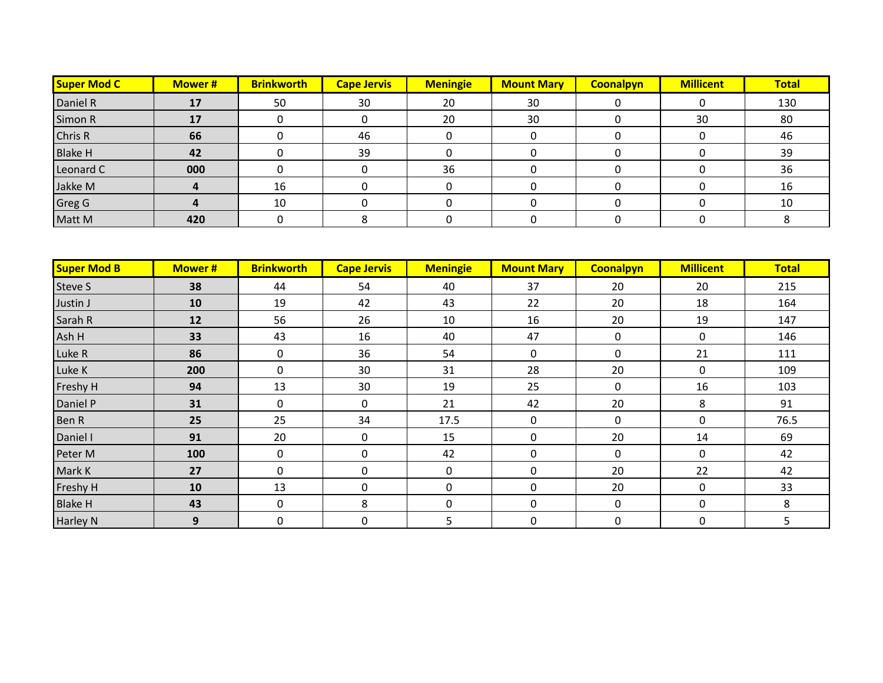| Super Mod C    | <b>Mower#</b> | <b>Brinkworth</b> | <b>Cape Jervis</b> | <b>Meningie</b> | <b>Mount Mary</b> | <b>Coonalpyn</b> | <b>Millicent</b> | <b>Total</b> |
|----------------|---------------|-------------------|--------------------|-----------------|-------------------|------------------|------------------|--------------|
| Daniel R       | 17            | 50                | 30                 | 20              | 30                |                  |                  | 130          |
| Simon R        | 17            |                   |                    | 20              | 30                |                  | 30               | 80           |
| Chris R        | 66            |                   | 46                 |                 |                   |                  |                  | 46           |
| <b>Blake H</b> | 42            |                   | 39                 |                 |                   |                  |                  | 39           |
| Leonard C      | 000           |                   |                    | 36              |                   |                  |                  | 36           |
| Jakke M        |               | 16                |                    |                 |                   |                  |                  | 16           |
| <b>Greg G</b>  |               | 10                |                    |                 |                   |                  |                  | 10           |
| Matt M         | 420           |                   |                    |                 |                   |                  |                  |              |

| <b>Super Mod B</b> | <b>Mower#</b> | <b>Brinkworth</b> | <b>Cape Jervis</b> | <b>Meningie</b> | <b>Mount Mary</b> | <b>Coonalpyn</b> | <b>Millicent</b> | <b>Total</b> |
|--------------------|---------------|-------------------|--------------------|-----------------|-------------------|------------------|------------------|--------------|
| <b>Steve S</b>     | 38            | 44                | 54                 | 40              | 37                | 20               | 20               | 215          |
| Justin J           | 10            | 19                | 42                 | 43              | 22                | 20               | 18               | 164          |
| Sarah R            | 12            | 56                | 26                 | 10              | 16                | 20               | 19               | 147          |
| Ash H              | 33            | 43                | 16                 | 40              | 47                | 0                | 0                | 146          |
| Luke R             | 86            | $\mathbf 0$       | 36                 | 54              | $\mathbf 0$       | 0                | 21               | 111          |
| Luke K             | 200           | $\Omega$          | 30                 | 31              | 28                | 20               | 0                | 109          |
| Freshy H           | 94            | 13                | 30                 | 19              | 25                | $\mathbf 0$      | 16               | 103          |
| Daniel P           | 31            | $\mathbf 0$       | 0                  | 21              | 42                | 20               | 8                | 91           |
| Ben R              | 25            | 25                | 34                 | 17.5            | 0                 | $\mathbf 0$      | 0                | 76.5         |
| Daniel I           | 91            | 20                | 0                  | 15              | 0                 | 20               | 14               | 69           |
| Peter M            | 100           | $\mathbf 0$       | 0                  | 42              | 0                 | 0                | 0                | 42           |
| Mark K             | 27            | $\mathbf 0$       | 0                  | 0               | 0                 | 20               | 22               | 42           |
| Freshy H           | 10            | 13                | 0                  | 0               | 0                 | 20               | 0                | 33           |
| <b>Blake H</b>     | 43            | 0                 | 8                  | 0               | 0                 | $\mathbf 0$      | $\mathbf 0$      | 8            |
| <b>Harley N</b>    | 9             | 0                 | $\mathbf 0$        | 5               | 0                 | $\mathbf 0$      | $\boldsymbol{0}$ | 5            |